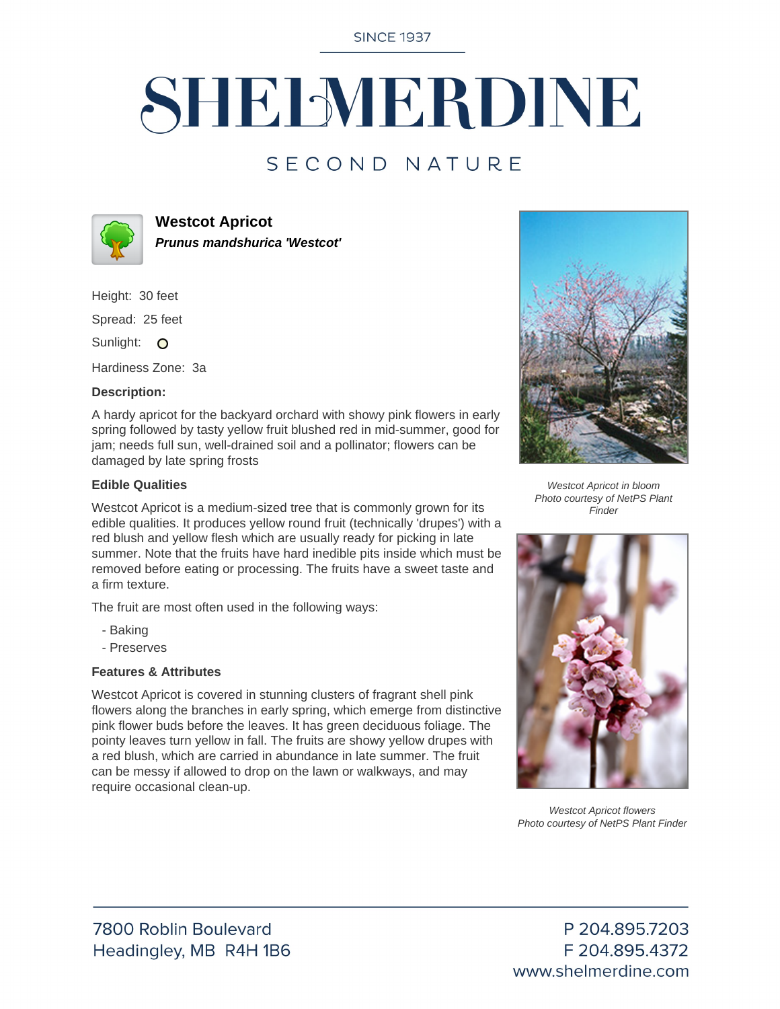**SINCE 1937** 

# SHELMERDINE

## SECOND NATURE



**Westcot Apricot Prunus mandshurica 'Westcot'**

Height: 30 feet

Spread: 25 feet

Sunlight: O

Hardiness Zone: 3a

#### **Description:**

A hardy apricot for the backyard orchard with showy pink flowers in early spring followed by tasty yellow fruit blushed red in mid-summer, good for jam; needs full sun, well-drained soil and a pollinator; flowers can be damaged by late spring frosts

#### **Edible Qualities**

Westcot Apricot is a medium-sized tree that is commonly grown for its edible qualities. It produces yellow round fruit (technically 'drupes') with a red blush and yellow flesh which are usually ready for picking in late summer. Note that the fruits have hard inedible pits inside which must be removed before eating or processing. The fruits have a sweet taste and a firm texture.

The fruit are most often used in the following ways:

- Baking
- Preserves

#### **Features & Attributes**

Westcot Apricot is covered in stunning clusters of fragrant shell pink flowers along the branches in early spring, which emerge from distinctive pink flower buds before the leaves. It has green deciduous foliage. The pointy leaves turn yellow in fall. The fruits are showy yellow drupes with a red blush, which are carried in abundance in late summer. The fruit can be messy if allowed to drop on the lawn or walkways, and may require occasional clean-up.



Westcot Apricot in bloom Photo courtesy of NetPS Plant Finder



Westcot Apricot flowers Photo courtesy of NetPS Plant Finder